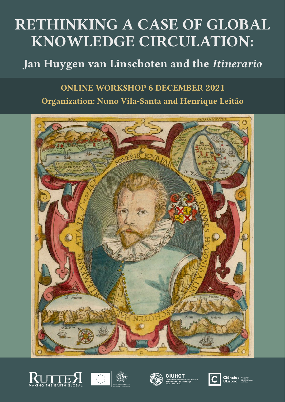# **RETHINKING A CASE OF GLOBAL KNOWLEDGE CIRCULATION:**

# **Jan Huygen van Linschoten and the** *Itinerario*

# **ONLINE WORKSHOP 6 DECEMBER 2021 Organization: Nuno Vila-Santa and Henrique Leitão**















**Ciências**<br>ULisboa